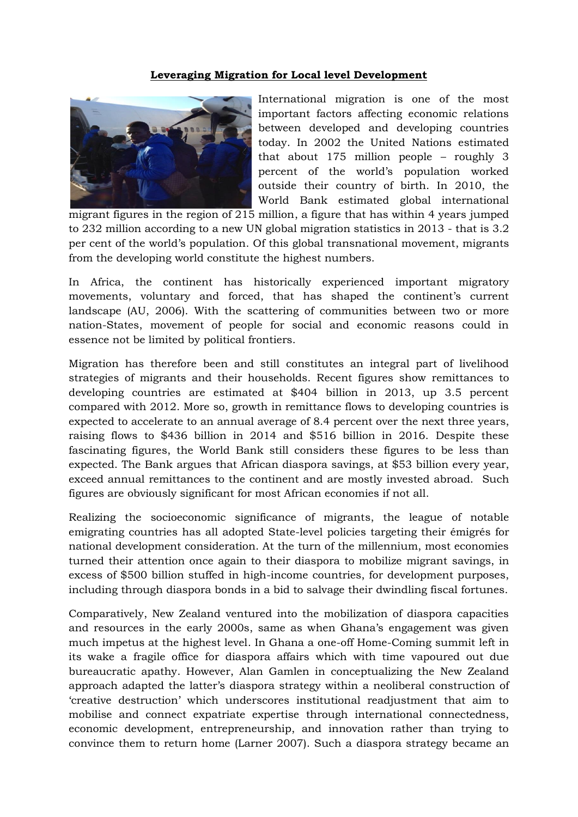## **Leveraging Migration for Local level Development**



International migration is one of the most important factors affecting economic relations between developed and developing countries today. In 2002 the United Nations estimated that about 175 million people – roughly 3 percent of the world's population worked outside their country of birth. In 2010, the World Bank estimated global international

migrant figures in the region of 215 million, a figure that has within 4 years jumped to 232 million according to a new UN global migration statistics in 2013 - that is 3.2 per cent of the world's population. Of this global transnational movement, migrants from the developing world constitute the highest numbers.

In Africa, the continent has historically experienced important migratory movements, voluntary and forced, that has shaped the continent's current landscape (AU, 2006). With the scattering of communities between two or more nation-States, movement of people for social and economic reasons could in essence not be limited by political frontiers.

Migration has therefore been and still constitutes an integral part of livelihood strategies of migrants and their households. Recent figures show remittances to developing countries are estimated at \$404 billion in 2013, up 3.5 percent compared with 2012. More so, growth in remittance flows to developing countries is expected to accelerate to an annual average of 8.4 percent over the next three years, raising flows to \$436 billion in 2014 and \$516 billion in 2016. Despite these fascinating figures, the World Bank still considers these figures to be less than expected. The Bank argues that African diaspora savings, at \$53 billion every year, exceed annual remittances to the continent and are mostly invested abroad. Such figures are obviously significant for most African economies if not all.

Realizing the socioeconomic significance of migrants, the league of notable emigrating countries has all adopted State-level policies targeting their émigrés for national development consideration. At the turn of the millennium, most economies turned their attention once again to their diaspora to mobilize migrant savings, in excess of \$500 billion stuffed in high-income countries, for development purposes, including through diaspora bonds in a bid to salvage their dwindling fiscal fortunes.

Comparatively, New Zealand ventured into the mobilization of diaspora capacities and resources in the early 2000s, same as when Ghana's engagement was given much impetus at the highest level. In Ghana a one-off Home-Coming summit left in its wake a fragile office for diaspora affairs which with time vapoured out due bureaucratic apathy. However, Alan Gamlen in conceptualizing the New Zealand approach adapted the latter's diaspora strategy within a neoliberal construction of 'creative destruction' which underscores institutional readjustment that aim to mobilise and connect expatriate expertise through international connectedness, economic development, entrepreneurship, and innovation rather than trying to convince them to return home (Larner 2007). Such a diaspora strategy became an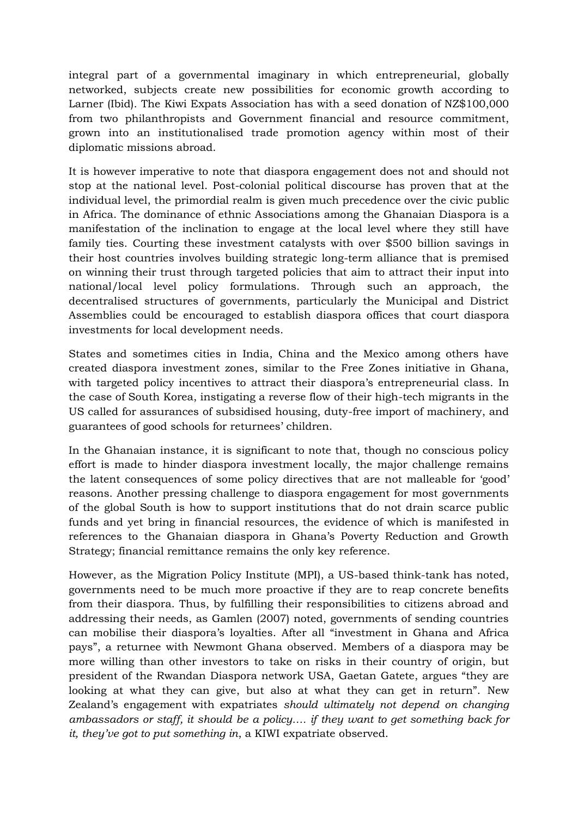integral part of a governmental imaginary in which entrepreneurial, globally networked, subjects create new possibilities for economic growth according to Larner (Ibid). The Kiwi Expats Association has with a seed donation of NZ\$100,000 from two philanthropists and Government financial and resource commitment, grown into an institutionalised trade promotion agency within most of their diplomatic missions abroad.

It is however imperative to note that diaspora engagement does not and should not stop at the national level. Post-colonial political discourse has proven that at the individual level, the primordial realm is given much precedence over the civic public in Africa. The dominance of ethnic Associations among the Ghanaian Diaspora is a manifestation of the inclination to engage at the local level where they still have family ties. Courting these investment catalysts with over \$500 billion savings in their host countries involves building strategic long-term alliance that is premised on winning their trust through targeted policies that aim to attract their input into national/local level policy formulations. Through such an approach, the decentralised structures of governments, particularly the Municipal and District Assemblies could be encouraged to establish diaspora offices that court diaspora investments for local development needs.

States and sometimes cities in India, China and the Mexico among others have created diaspora investment zones, similar to the Free Zones initiative in Ghana, with targeted policy incentives to attract their diaspora's entrepreneurial class. In the case of South Korea, instigating a reverse flow of their high-tech migrants in the US called for assurances of subsidised housing, duty-free import of machinery, and guarantees of good schools for returnees' children.

In the Ghanaian instance, it is significant to note that, though no conscious policy effort is made to hinder diaspora investment locally, the major challenge remains the latent consequences of some policy directives that are not malleable for 'good' reasons. Another pressing challenge to diaspora engagement for most governments of the global South is how to support institutions that do not drain scarce public funds and yet bring in financial resources, the evidence of which is manifested in references to the Ghanaian diaspora in Ghana's Poverty Reduction and Growth Strategy; financial remittance remains the only key reference.

However, as the Migration Policy Institute (MPI), a US-based think-tank has noted, governments need to be much more proactive if they are to reap concrete benefits from their diaspora. Thus, by fulfilling their responsibilities to citizens abroad and addressing their needs, as Gamlen (2007) noted, governments of sending countries can mobilise their diaspora's loyalties. After all "investment in Ghana and Africa pays", a returnee with Newmont Ghana observed. Members of a diaspora may be more willing than other investors to take on risks in their country of origin, but president of the Rwandan Diaspora network USA, Gaetan Gatete, argues "they are looking at what they can give, but also at what they can get in return". New Zealand's engagement with expatriates *should ultimately not depend on changing ambassadors or staff, it should be a policy…. if they want to get something back for it, they've got to put something in*, a KIWI expatriate observed.